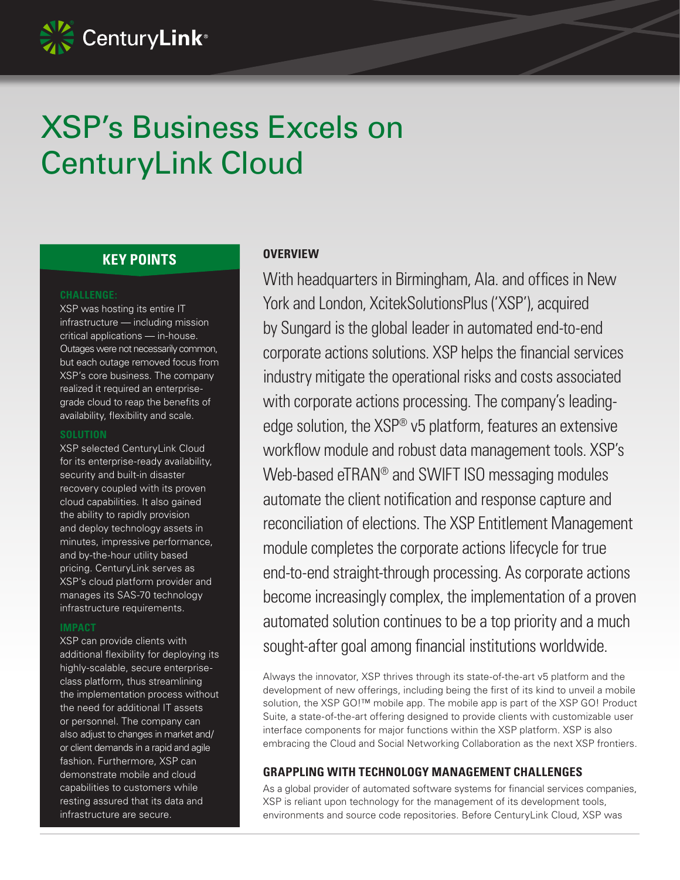

# XSP's Business Excels on CenturyLink Cloud

# **KEY POINTS**

### **CHALLENGE:**

XSP was hosting its entire IT infrastructure — including mission critical applications — in-house. Outages were not necessarily common, but each outage removed focus from XSP's core business. The company realized it required an enterprisegrade cloud to reap the benefits of availability, flexibility and scale.

#### **SOLUTION**

XSP selected CenturyLink Cloud for its enterprise-ready availability, security and built-in disaster recovery coupled with its proven cloud capabilities. It also gained the ability to rapidly provision and deploy technology assets in minutes, impressive performance, and by-the-hour utility based pricing. CenturyLink serves as XSP's cloud platform provider and manages its SAS-70 technology infrastructure requirements.

### **IMPACT**

XSP can provide clients with additional flexibility for deploying its highly-scalable, secure enterpriseclass platform, thus streamlining the implementation process without the need for additional IT assets or personnel. The company can also adjust to changes in market and/ or client demands in a rapid and agile fashion. Furthermore, XSP can demonstrate mobile and cloud capabilities to customers while resting assured that its data and infrastructure are secure.

## **OVERVIEW**

With headquarters in Birmingham, Ala. and offices in New York and London, XcitekSolutionsPlus ('XSP'), acquired by Sungard is the global leader in automated end-to-end corporate actions solutions. XSP helps the financial services industry mitigate the operational risks and costs associated with corporate actions processing. The company's leadingedge solution, the XSP® v5 platform, features an extensive workflow module and robust data management tools. XSP's Web-based eTRAN® and SWIFT ISO messaging modules automate the client notification and response capture and reconciliation of elections. The XSP Entitlement Management module completes the corporate actions lifecycle for true end-to-end straight-through processing. As corporate actions become increasingly complex, the implementation of a proven automated solution continues to be a top priority and a much sought-after goal among financial institutions worldwide.

Always the innovator, XSP thrives through its state-of-the-art v5 platform and the development of new offerings, including being the first of its kind to unveil a mobile solution, the XSP GO!<sup>™</sup> mobile app. The mobile app is part of the XSP GO! Product Suite, a state-of-the-art offering designed to provide clients with customizable user interface components for major functions within the XSP platform. XSP is also embracing the Cloud and Social Networking Collaboration as the next XSP frontiers.

## **GRAPPLING WITH TECHNOLOGY MANAGEMENT CHALLENGES**

As a global provider of automated software systems for financial services companies, XSP is reliant upon technology for the management of its development tools, environments and source code repositories. Before CenturyLink Cloud, XSP was